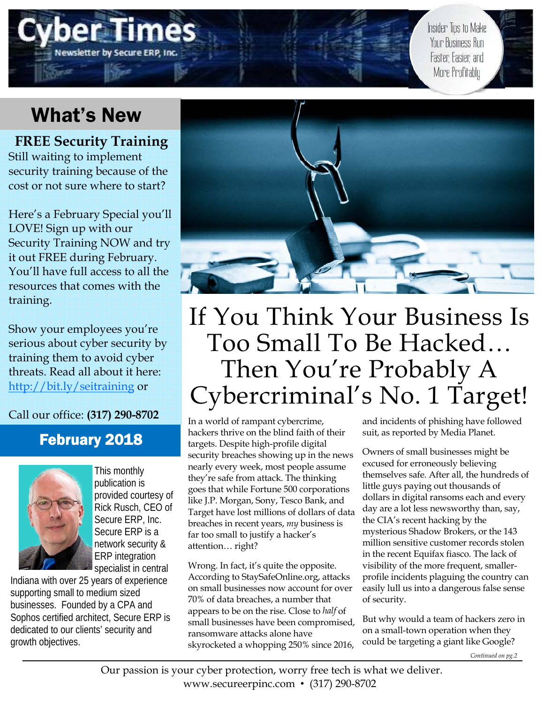

Insider Tips to Make Your Business Run Faster, Easier, and More Profitably

## What's New

**FREE Security Training**  Still waiting to implement security training because of the cost or not sure where to start?

Here's a February Special you'll LOVE! Sign up with our Security Training NOW and try it out FREE during February. You'll have full access to all the resources that comes with the training.

Show your employees you're serious about cyber security by training them to avoid cyber threats. Read all about it here: http://bit.ly/seitraining or

Call our office: **(317) 290-8702**

### February 2018



This monthly publication is provided courtesy of Rick Rusch, CEO of Secure ERP, Inc. Secure ERP is a network security & ERP integration specialist in central

Indiana with over 25 years of experience supporting small to medium sized businesses. Founded by a CPA and Sophos certified architect, Secure ERP is dedicated to our clients' security and growth objectives.



## If You Think Your Business Is Too Small To Be Hacked… Then You're Probably A Cybercriminal's No. 1 Target!

In a world of rampant cybercrime, hackers thrive on the blind faith of their targets. Despite high-profile digital security breaches showing up in the news nearly every week, most people assume they're safe from attack. The thinking goes that while Fortune 500 corporations like J.P. Morgan, Sony, Tesco Bank, and Target have lost millions of dollars of data breaches in recent years, *my* business is far too small to justify a hacker's attention… right?

Wrong. In fact, it's quite the opposite. According to StaySafeOnline.org, attacks on small businesses now account for over 70% of data breaches, a number that appears to be on the rise. Close to *half* of small businesses have been compromised, ransomware attacks alone have skyrocketed a whopping 250% since 2016,

and incidents of phishing have followed suit, as reported by Media Planet.

Owners of small businesses might be excused for erroneously believing themselves safe. After all, the hundreds of little guys paying out thousands of dollars in digital ransoms each and every day are a lot less newsworthy than, say, the CIA's recent hacking by the mysterious Shadow Brokers, or the 143 million sensitive customer records stolen in the recent Equifax fiasco. The lack of visibility of the more frequent, smallerprofile incidents plaguing the country can easily lull us into a dangerous false sense of security.

But why would a team of hackers zero in on a small-town operation when they could be targeting a giant like Google?

*Continued on pg.2*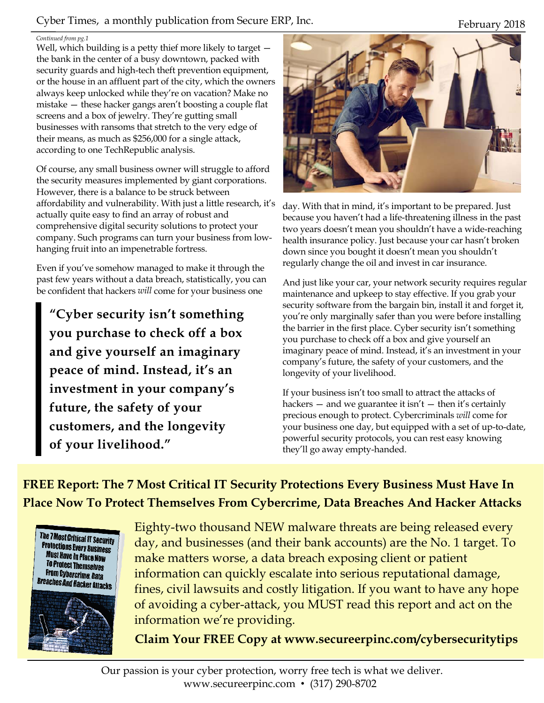### Cyber Times, a monthly publication from Secure ERP, Inc. February 2018

#### *Continued from pg.1*

Well, which building is a petty thief more likely to target  $$ the bank in the center of a busy downtown, packed with security guards and high-tech theft prevention equipment, or the house in an affluent part of the city, which the owners always keep unlocked while they're on vacation? Make no mistake — these hacker gangs aren't boosting a couple flat screens and a box of jewelry. They're gutting small businesses with ransoms that stretch to the very edge of their means, as much as \$256,000 for a single attack, according to one TechRepublic analysis.

Of course, any small business owner will struggle to afford the security measures implemented by giant corporations. However, there is a balance to be struck between affordability and vulnerability. With just a little research, it's actually quite easy to find an array of robust and comprehensive digital security solutions to protect your company. Such programs can turn your business from lowhanging fruit into an impenetrable fortress.

Even if you've somehow managed to make it through the past few years without a data breach, statistically, you can be confident that hackers *will* come for your business one

**"Cyber security isn't something you purchase to check off a box and give yourself an imaginary peace of mind. Instead, it's an investment in your company's future, the safety of your customers, and the longevity of your livelihood."** 



day. With that in mind, it's important to be prepared. Just because you haven't had a life-threatening illness in the past two years doesn't mean you shouldn't have a wide-reaching health insurance policy. Just because your car hasn't broken down since you bought it doesn't mean you shouldn't regularly change the oil and invest in car insurance.

And just like your car, your network security requires regular maintenance and upkeep to stay effective. If you grab your security software from the bargain bin, install it and forget it, you're only marginally safer than you were before installing the barrier in the first place. Cyber security isn't something you purchase to check off a box and give yourself an imaginary peace of mind. Instead, it's an investment in your company's future, the safety of your customers, and the longevity of your livelihood.

If your business isn't too small to attract the attacks of hackers  $-$  and we guarantee it isn't  $-$  then it's certainly precious enough to protect. Cybercriminals *will* come for your business one day, but equipped with a set of up-to-date, powerful security protocols, you can rest easy knowing they'll go away empty-handed.

**FREE Report: The 7 Most Critical IT Security Protections Every Business Must Have In Place Now To Protect Themselves From Cybercrime, Data Breaches And Hacker Attacks** 





Eighty-two thousand NEW malware threats are being released every day, and businesses (and their bank accounts) are the No. 1 target. To make matters worse, a data breach exposing client or patient information can quickly escalate into serious reputational damage, fines, civil lawsuits and costly litigation. If you want to have any hope of avoiding a cyber-attack, you MUST read this report and act on the information we're providing.

**Claim Your FREE Copy at www.secureerpinc.com/cybersecuritytips**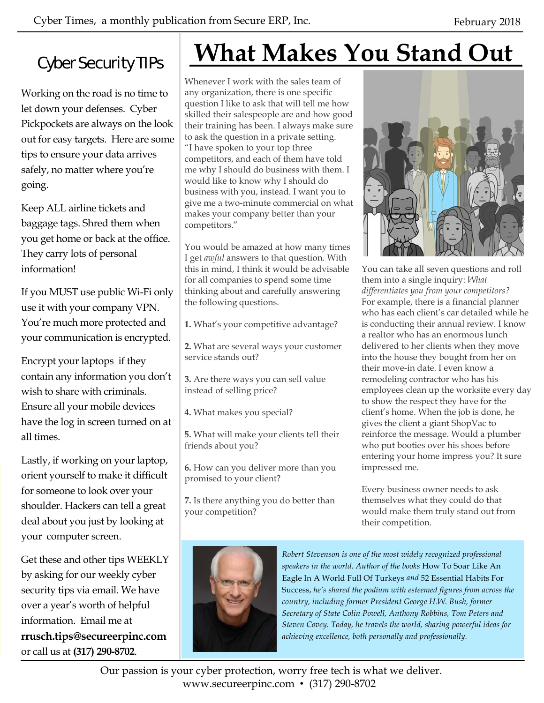### Cyber Security TIPs

Working on the road is no time to let down your defenses. Cyber Pickpockets are always on the look out for easy targets. Here are some tips to ensure your data arrives safely, no matter where you're going.

Keep ALL airline tickets and baggage tags. Shred them when you get home or back at the office. They carry lots of personal information!

If you MUST use public Wi-Fi only use it with your company VPN. You're much more protected and your communication is encrypted.

Encrypt your laptops if they contain any information you don't wish to share with criminals. Ensure all your mobile devices have the log in screen turned on at all times.

Lastly, if working on your laptop, orient yourself to make it difficult for someone to look over your shoulder. Hackers can tell a great deal about you just by looking at your computer screen.

Get these and other tips WEEKLY by asking for our weekly cyber security tips via email. We have over a year's worth of helpful information. Email me at **rrusch.tips@secureerpinc.com**  or call us at **(317) 290-8702**.

# **What Makes You Stand Out**

Whenever I work with the sales team of any organization, there is one specific question I like to ask that will tell me how skilled their salespeople are and how good their training has been. I always make sure to ask the question in a private setting. "I have spoken to your top three competitors, and each of them have told me why I should do business with them. I would like to know why I should do business with you, instead. I want you to give me a two-minute commercial on what makes your company better than your competitors."

You would be amazed at how many times I get *awful* answers to that question. With this in mind, I think it would be advisable for all companies to spend some time thinking about and carefully answering the following questions.

**1.** What's your competitive advantage?

**2.** What are several ways your customer service stands out?

**3.** Are there ways you can sell value instead of selling price?

**4.** What makes you special?

**5.** What will make your clients tell their friends about you?

**6.** How can you deliver more than you promised to your client?

**7.** Is there anything you do better than your competition?



You can take all seven questions and roll them into a single inquiry: *What differentiates you from your competitors?*  For example, there is a financial planner who has each client's car detailed while he is conducting their annual review. I know a realtor who has an enormous lunch delivered to her clients when they move into the house they bought from her on their move-in date. I even know a remodeling contractor who has his employees clean up the worksite every day to show the respect they have for the client's home. When the job is done, he gives the client a giant ShopVac to reinforce the message. Would a plumber who put booties over his shoes before entering your home impress you? It sure impressed me.

Every business owner needs to ask themselves what they could do that would make them truly stand out from their competition.



*Robert Stevenson is one of the most widely recognized professional speakers in the world. Author of the books* How To Soar Like An Eagle In A World Full Of Turkeys *and* 52 Essential Habits For Success, *he's shared the podium with esteemed figures from across the country, including former President George H.W. Bush, former Secretary of State Colin Powell, Anthony Robbins, Tom Peters and Steven Covey. Today, he travels the world, sharing powerful ideas for achieving excellence, both personally and professionally.* 

Our passion is your cyber protection, worry free tech is what we deliver. www.secureerpinc.com • (317) 290-8702